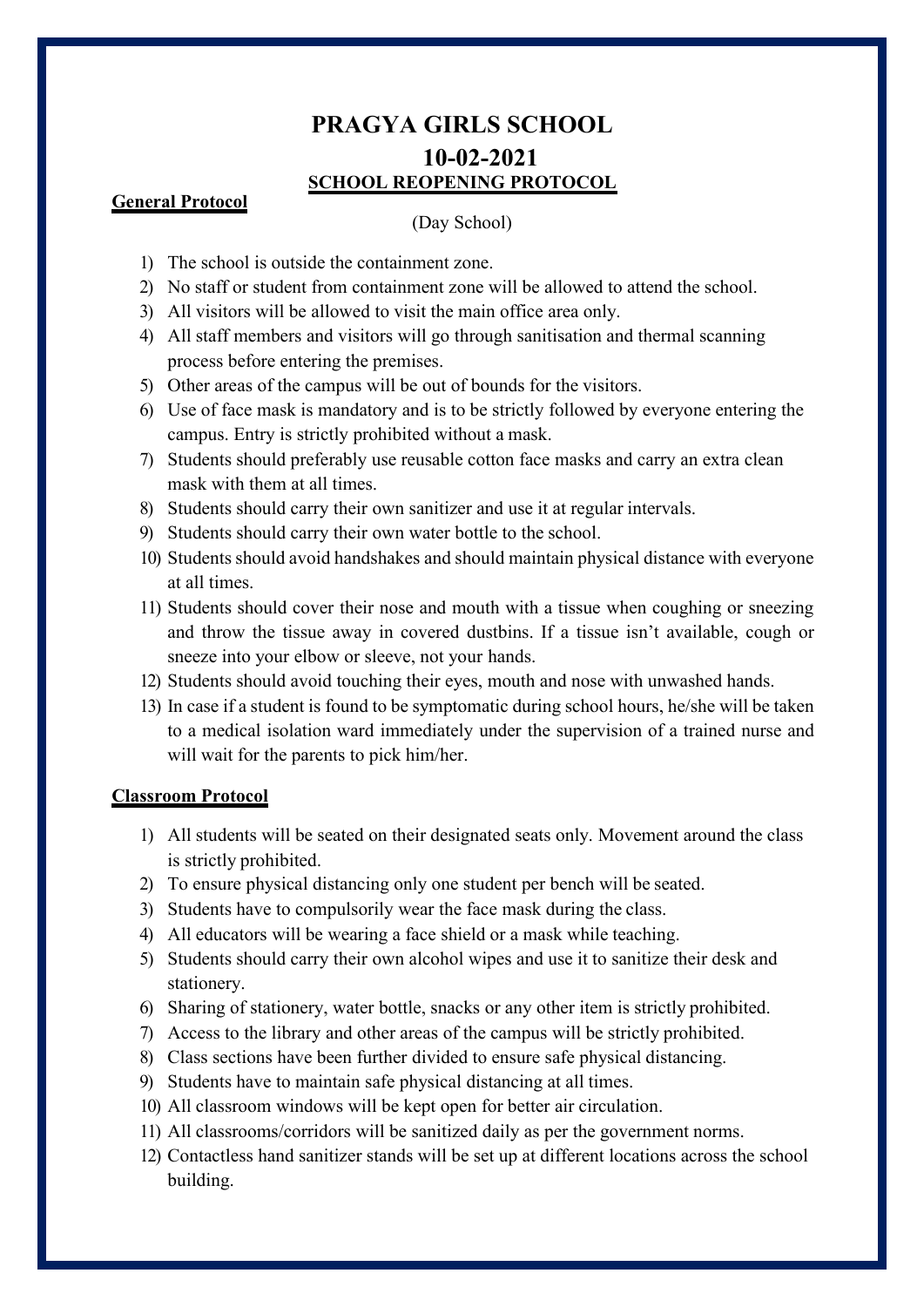# **PRAGYA GIRLS SCHOOL 10-02-2021 SCHOOL REOPENING PROTOCOL**

# **General Protocol**

## (Day School)

- 1) The school is outside the containment zone.
- 2) No staff or student from containment zone will be allowed to attend the school.
- 3) All visitors will be allowed to visit the main office area only.
- 4) All staff members and visitors will go through sanitisation and thermal scanning process before entering the premises.
- 5) Other areas of the campus will be out of bounds for the visitors.
- 6) Use of face mask is mandatory and is to be strictly followed by everyone entering the campus. Entry is strictly prohibited without a mask.
- 7) Students should preferably use reusable cotton face masks and carry an extra clean mask with them at all times.
- 8) Students should carry their own sanitizer and use it at regular intervals.
- 9) Students should carry their own water bottle to the school.
- 10) Students should avoid handshakes and should maintain physical distance with everyone at all times.
- 11) Students should cover their nose and mouth with a tissue when coughing or sneezing and throw the tissue away in covered dustbins. If a tissue isn't available, cough or sneeze into your elbow or sleeve, not your hands.
- 12) Students should avoid touching their eyes, mouth and nose with unwashed hands.
- 13) In case if a student is found to be symptomatic during school hours, he/she will be taken to a medical isolation ward immediately under the supervision of a trained nurse and will wait for the parents to pick him/her.

#### **Classroom Protocol**

- 1) All students will be seated on their designated seats only. Movement around the class is strictly prohibited.
- 2) To ensure physical distancing only one student per bench will be seated.
- 3) Students have to compulsorily wear the face mask during the class.
- 4) All educators will be wearing a face shield or a mask while teaching.
- 5) Students should carry their own alcohol wipes and use it to sanitize their desk and stationery.
- 6) Sharing of stationery, water bottle, snacks or any other item is strictly prohibited.
- 7) Access to the library and other areas of the campus will be strictly prohibited.
- 8) Class sections have been further divided to ensure safe physical distancing.
- 9) Students have to maintain safe physical distancing at all times.
- 10) All classroom windows will be kept open for better air circulation.
- 11) All classrooms/corridors will be sanitized daily as per the government norms.
- 12) Contactless hand sanitizer stands will be set up at different locations across the school building.